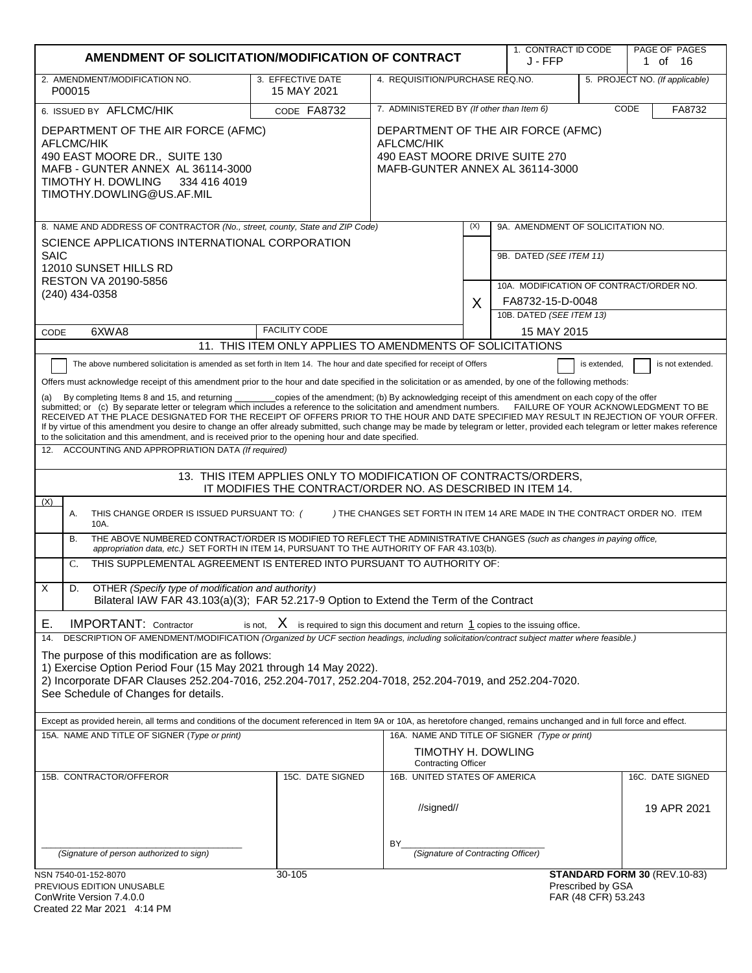| AMENDMENT OF SOLICITATION/MODIFICATION OF CONTRACT                                                                                                                                                                                                                                                                                                                                                                                                                                                                                                                                                                                                                                                                                                                                                                                                                                                                                                                                                                                                                                                                                                                                                                                                                                                                                                                                                                                                                                                                                                                                                                                                                                                                                                                                                                                                                                                                                                                                                                                                                                                                                                                                                                                                                                                                                                                                                                                                                                                                               |                      |                                                                                                                              |     | 1. CONTRACT ID CODE<br>J - FFP                                     |                                          | PAGE OF PAGES<br>1 of 16        |
|----------------------------------------------------------------------------------------------------------------------------------------------------------------------------------------------------------------------------------------------------------------------------------------------------------------------------------------------------------------------------------------------------------------------------------------------------------------------------------------------------------------------------------------------------------------------------------------------------------------------------------------------------------------------------------------------------------------------------------------------------------------------------------------------------------------------------------------------------------------------------------------------------------------------------------------------------------------------------------------------------------------------------------------------------------------------------------------------------------------------------------------------------------------------------------------------------------------------------------------------------------------------------------------------------------------------------------------------------------------------------------------------------------------------------------------------------------------------------------------------------------------------------------------------------------------------------------------------------------------------------------------------------------------------------------------------------------------------------------------------------------------------------------------------------------------------------------------------------------------------------------------------------------------------------------------------------------------------------------------------------------------------------------------------------------------------------------------------------------------------------------------------------------------------------------------------------------------------------------------------------------------------------------------------------------------------------------------------------------------------------------------------------------------------------------------------------------------------------------------------------------------------------------|----------------------|------------------------------------------------------------------------------------------------------------------------------|-----|--------------------------------------------------------------------|------------------------------------------|---------------------------------|
| 2. AMENDMENT/MODIFICATION NO.<br>3. EFFECTIVE DATE<br>4. REQUISITION/PURCHASE REQ.NO.<br>15 MAY 2021<br>P00015                                                                                                                                                                                                                                                                                                                                                                                                                                                                                                                                                                                                                                                                                                                                                                                                                                                                                                                                                                                                                                                                                                                                                                                                                                                                                                                                                                                                                                                                                                                                                                                                                                                                                                                                                                                                                                                                                                                                                                                                                                                                                                                                                                                                                                                                                                                                                                                                                   |                      |                                                                                                                              |     |                                                                    |                                          | 5. PROJECT NO. (If applicable)  |
| 6. ISSUED BY AFLCMC/HIK                                                                                                                                                                                                                                                                                                                                                                                                                                                                                                                                                                                                                                                                                                                                                                                                                                                                                                                                                                                                                                                                                                                                                                                                                                                                                                                                                                                                                                                                                                                                                                                                                                                                                                                                                                                                                                                                                                                                                                                                                                                                                                                                                                                                                                                                                                                                                                                                                                                                                                          | CODE FA8732          | 7. ADMINISTERED BY (If other than Item 6)<br>CODE                                                                            |     |                                                                    | FA8732                                   |                                 |
| DEPARTMENT OF THE AIR FORCE (AFMC)<br><b>AFLCMC/HIK</b><br>490 EAST MOORE DR., SUITE 130<br>MAFB - GUNTER ANNEX AL 36114-3000<br>TIMOTHY H. DOWLING<br>334 416 4019<br>TIMOTHY.DOWLING@US.AF.MIL                                                                                                                                                                                                                                                                                                                                                                                                                                                                                                                                                                                                                                                                                                                                                                                                                                                                                                                                                                                                                                                                                                                                                                                                                                                                                                                                                                                                                                                                                                                                                                                                                                                                                                                                                                                                                                                                                                                                                                                                                                                                                                                                                                                                                                                                                                                                 |                      | DEPARTMENT OF THE AIR FORCE (AFMC)<br><b>AFLCMC/HIK</b><br>490 EAST MOORE DRIVE SUITE 270<br>MAFB-GUNTER ANNEX AL 36114-3000 |     |                                                                    |                                          |                                 |
| 8. NAME AND ADDRESS OF CONTRACTOR (No., street, county, State and ZIP Code)                                                                                                                                                                                                                                                                                                                                                                                                                                                                                                                                                                                                                                                                                                                                                                                                                                                                                                                                                                                                                                                                                                                                                                                                                                                                                                                                                                                                                                                                                                                                                                                                                                                                                                                                                                                                                                                                                                                                                                                                                                                                                                                                                                                                                                                                                                                                                                                                                                                      |                      |                                                                                                                              | (X) | 9A. AMENDMENT OF SOLICITATION NO.                                  |                                          |                                 |
| SCIENCE APPLICATIONS INTERNATIONAL CORPORATION<br><b>SAIC</b><br>12010 SUNSET HILLS RD<br><b>RESTON VA 20190-5856</b>                                                                                                                                                                                                                                                                                                                                                                                                                                                                                                                                                                                                                                                                                                                                                                                                                                                                                                                                                                                                                                                                                                                                                                                                                                                                                                                                                                                                                                                                                                                                                                                                                                                                                                                                                                                                                                                                                                                                                                                                                                                                                                                                                                                                                                                                                                                                                                                                            |                      |                                                                                                                              |     | 9B. DATED (SEE ITEM 11)<br>10A. MODIFICATION OF CONTRACT/ORDER NO. |                                          |                                 |
| $(240)$ 434-0358                                                                                                                                                                                                                                                                                                                                                                                                                                                                                                                                                                                                                                                                                                                                                                                                                                                                                                                                                                                                                                                                                                                                                                                                                                                                                                                                                                                                                                                                                                                                                                                                                                                                                                                                                                                                                                                                                                                                                                                                                                                                                                                                                                                                                                                                                                                                                                                                                                                                                                                 |                      |                                                                                                                              | X   | FA8732-15-D-0048                                                   |                                          |                                 |
|                                                                                                                                                                                                                                                                                                                                                                                                                                                                                                                                                                                                                                                                                                                                                                                                                                                                                                                                                                                                                                                                                                                                                                                                                                                                                                                                                                                                                                                                                                                                                                                                                                                                                                                                                                                                                                                                                                                                                                                                                                                                                                                                                                                                                                                                                                                                                                                                                                                                                                                                  |                      |                                                                                                                              |     | 10B. DATED (SEE ITEM 13)                                           |                                          |                                 |
| 6XWA8<br>CODE                                                                                                                                                                                                                                                                                                                                                                                                                                                                                                                                                                                                                                                                                                                                                                                                                                                                                                                                                                                                                                                                                                                                                                                                                                                                                                                                                                                                                                                                                                                                                                                                                                                                                                                                                                                                                                                                                                                                                                                                                                                                                                                                                                                                                                                                                                                                                                                                                                                                                                                    | <b>FACILITY CODE</b> |                                                                                                                              |     | 15 MAY 2015                                                        |                                          |                                 |
| 11. THIS ITEM ONLY APPLIES TO AMENDMENTS OF SOLICITATIONS<br>The above numbered solicitation is amended as set forth in Item 14. The hour and date specified for receipt of Offers<br>is extended,<br>Offers must acknowledge receipt of this amendment prior to the hour and date specified in the solicitation or as amended, by one of the following methods:<br>By completing Items 8 and 15, and returning ___________copies of the amendment; (b) By acknowledging receipt of this amendment on each copy of the offer<br>submitted; or (c) By separate letter or telegram which includes a reference to the solicitation and amendment numbers.<br>FAILURE OF YOUR ACKNOWLEDGMENT TO BE<br>RECEIVED AT THE PLACE DESIGNATED FOR THE RECEIPT OF OFFERS PRIOR TO THE HOUR AND DATE SPECIFIED MAY RESULT IN REJECTION OF YOUR OFFER.<br>If by virtue of this amendment you desire to change an offer already submitted, such change may be made by telegram or letter, provided each telegram or letter makes reference<br>to the solicitation and this amendment, and is received prior to the opening hour and date specified.<br>12. ACCOUNTING AND APPROPRIATION DATA (If required)<br>13. THIS ITEM APPLIES ONLY TO MODIFICATION OF CONTRACTS/ORDERS,<br>IT MODIFIES THE CONTRACT/ORDER NO. AS DESCRIBED IN ITEM 14.<br>(X)<br>) THE CHANGES SET FORTH IN ITEM 14 ARE MADE IN THE CONTRACT ORDER NO. ITEM<br>Α.<br>THIS CHANGE ORDER IS ISSUED PURSUANT TO: (<br>10A.<br>THE ABOVE NUMBERED CONTRACT/ORDER IS MODIFIED TO REFLECT THE ADMINISTRATIVE CHANGES (such as changes in paying office,<br><b>B.</b><br>appropriation data, etc.) SET FORTH IN ITEM 14, PURSUANT TO THE AUTHORITY OF FAR 43.103(b).<br>THIS SUPPLEMENTAL AGREEMENT IS ENTERED INTO PURSUANT TO AUTHORITY OF:<br>C.<br>X<br>D.<br>OTHER (Specify type of modification and authority)<br>Bilateral IAW FAR 43.103(a)(3); FAR 52.217-9 Option to Extend the Term of the Contract<br>is not, $X$ is required to sign this document and return $1$ copies to the issuing office.<br><b>IMPORTANT: Contractor</b><br>Е.<br>DESCRIPTION OF AMENDMENT/MODIFICATION (Organized by UCF section headings, including solicitation/contract subject matter where feasible.)<br>14.<br>The purpose of this modification are as follows:<br>1) Exercise Option Period Four (15 May 2021 through 14 May 2022).<br>2) Incorporate DFAR Clauses 252.204-7016, 252.204-7017, 252.204-7018, 252.204-7019, and 252.204-7020.<br>See Schedule of Changes for details. |                      |                                                                                                                              |     |                                                                    | is not extended.                         |                                 |
| Except as provided herein, all terms and conditions of the document referenced in Item 9A or 10A, as heretofore changed, remains unchanged and in full force and effect.                                                                                                                                                                                                                                                                                                                                                                                                                                                                                                                                                                                                                                                                                                                                                                                                                                                                                                                                                                                                                                                                                                                                                                                                                                                                                                                                                                                                                                                                                                                                                                                                                                                                                                                                                                                                                                                                                                                                                                                                                                                                                                                                                                                                                                                                                                                                                         |                      |                                                                                                                              |     |                                                                    |                                          |                                 |
| 15A. NAME AND TITLE OF SIGNER (Type or print)                                                                                                                                                                                                                                                                                                                                                                                                                                                                                                                                                                                                                                                                                                                                                                                                                                                                                                                                                                                                                                                                                                                                                                                                                                                                                                                                                                                                                                                                                                                                                                                                                                                                                                                                                                                                                                                                                                                                                                                                                                                                                                                                                                                                                                                                                                                                                                                                                                                                                    |                      | TIMOTHY H. DOWLING<br><b>Contracting Officer</b>                                                                             |     | 16A. NAME AND TITLE OF SIGNER (Type or print)                      |                                          |                                 |
| 15B. CONTRACTOR/OFFEROR                                                                                                                                                                                                                                                                                                                                                                                                                                                                                                                                                                                                                                                                                                                                                                                                                                                                                                                                                                                                                                                                                                                                                                                                                                                                                                                                                                                                                                                                                                                                                                                                                                                                                                                                                                                                                                                                                                                                                                                                                                                                                                                                                                                                                                                                                                                                                                                                                                                                                                          | 15C. DATE SIGNED     | 16B. UNITED STATES OF AMERICA<br>//signed//                                                                                  |     |                                                                    |                                          | 16C. DATE SIGNED<br>19 APR 2021 |
| (Signature of person authorized to sign)                                                                                                                                                                                                                                                                                                                                                                                                                                                                                                                                                                                                                                                                                                                                                                                                                                                                                                                                                                                                                                                                                                                                                                                                                                                                                                                                                                                                                                                                                                                                                                                                                                                                                                                                                                                                                                                                                                                                                                                                                                                                                                                                                                                                                                                                                                                                                                                                                                                                                         |                      | BY.<br>(Signature of Contracting Officer)                                                                                    |     |                                                                    |                                          |                                 |
| NSN 7540-01-152-8070<br>PREVIOUS EDITION UNUSABLE<br>ConWrite Version 7 4 0 0                                                                                                                                                                                                                                                                                                                                                                                                                                                                                                                                                                                                                                                                                                                                                                                                                                                                                                                                                                                                                                                                                                                                                                                                                                                                                                                                                                                                                                                                                                                                                                                                                                                                                                                                                                                                                                                                                                                                                                                                                                                                                                                                                                                                                                                                                                                                                                                                                                                    | 30-105               |                                                                                                                              |     |                                                                    | Prescribed by GSA<br>FAR (48 CFR) 53 243 | STANDARD FORM 30 (REV.10-83)    |

| ConWrite Version 7.4.0.0    |  |
|-----------------------------|--|
| Created 22 Mar 2021 4:14 PM |  |

FAR (48 CFR) 53.243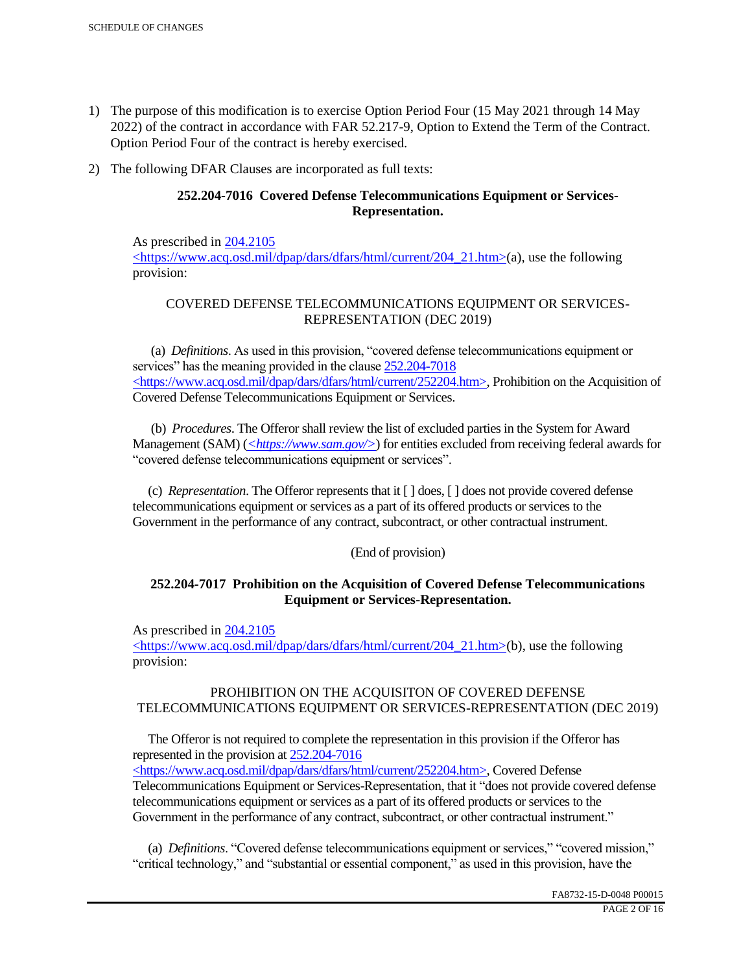- 1) The purpose of this modification is to exercise Option Period Four (15 May 2021 through 14 May 2022) of the contract in accordance with FAR 52.217-9, Option to Extend the Term of the Contract. Option Period Four of the contract is hereby exercised.
- 2) The following DFAR Clauses are incorporated as full texts:

# **252.204-7016 Covered Defense Telecommunications Equipment or Services-Representation.**

As prescribed in 204.2105 <https://www.acq.osd.mil/dpap/dars/dfars/html/current/204\_21.htm>(a), use the following provision:

# COVERED DEFENSE TELECOMMUNICATIONS EQUIPMENT OR SERVICES-REPRESENTATION (DEC 2019)

 (a) *Definitions*. As used in this provision, "covered defense telecommunications equipment or services" has the meaning provided in the clause  $252.204 - 7018$ <https://www.acq.osd.mil/dpap/dars/dfars/html/current/252204.htm>, Prohibition on the Acquisition of Covered Defense Telecommunications Equipment or Services.

 (b) *Procedures*. The Offeror shall review the list of excluded parties in the System for Award Management (SAM) (*<https://www.sam.gov/>*) for entities excluded from receiving federal awards for "covered defense telecommunications equipment or services".

 (c) *Representation*. The Offeror represents that it [ ] does, [ ] does not provide covered defense telecommunications equipment or services as a part of its offered products or services to the Government in the performance of any contract, subcontract, or other contractual instrument.

# (End of provision)

# **252.204-7017 Prohibition on the Acquisition of Covered Defense Telecommunications Equipment or Services-Representation.**

As prescribed in 204.2105

<https://www.acq.osd.mil/dpap/dars/dfars/html/current/204\_21.htm>(b), use the following provision:

# PROHIBITION ON THE ACQUISITON OF COVERED DEFENSE TELECOMMUNICATIONS EQUIPMENT OR SERVICES-REPRESENTATION (DEC 2019)

 The Offeror is not required to complete the representation in this provision if the Offeror has represented in the provision at 252.204-7016

<https://www.acq.osd.mil/dpap/dars/dfars/html/current/252204.htm>, Covered Defense Telecommunications Equipment or Services-Representation, that it "does not provide covered defense telecommunications equipment or services as a part of its offered products or services to the Government in the performance of any contract, subcontract, or other contractual instrument."

 (a) *Definitions*. "Covered defense telecommunications equipment or services," "covered mission," "critical technology," and "substantial or essential component," as used in this provision, have the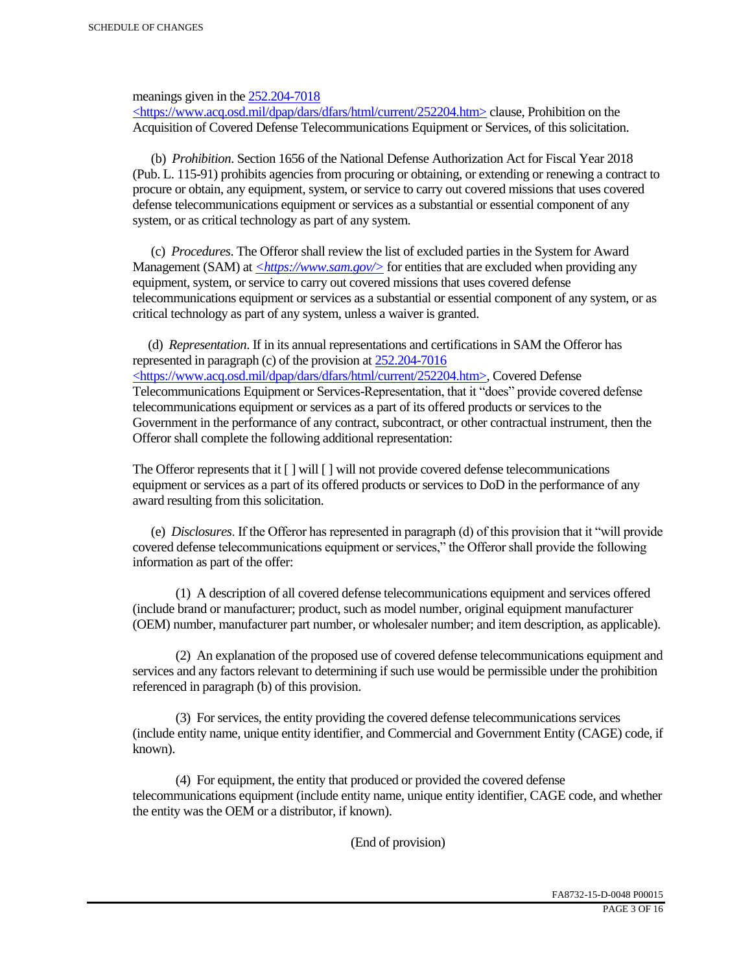meanings given in the 252.204-7018

 $\langle$ https://www.acq.osd.mil/dpap/dars/dfars/html/current/252204.htm> clause, Prohibition on the Acquisition of Covered Defense Telecommunications Equipment or Services, of this solicitation.

 (b) *Prohibition*. Section 1656 of the National Defense Authorization Act for Fiscal Year 2018 (Pub. L. 115-91) prohibits agencies from procuring or obtaining, or extending or renewing a contract to procure or obtain, any equipment, system, or service to carry out covered missions that uses covered defense telecommunications equipment or services as a substantial or essential component of any system, or as critical technology as part of any system.

 (c) *Procedures*. The Offeror shall review the list of excluded parties in the System for Award Management (SAM) at  $\leq$ https://www.sam.gov/> for entities that are excluded when providing any equipment, system, or service to carry out covered missions that uses covered defense telecommunications equipment or services as a substantial or essential component of any system, or as critical technology as part of any system, unless a waiver is granted.

 (d) *Representation*. If in its annual representations and certifications in SAM the Offeror has represented in paragraph (c) of the provision at 252.204-7016 <https://www.acq.osd.mil/dpap/dars/dfars/html/current/252204.htm>, Covered Defense Telecommunications Equipment or Services-Representation, that it "does" provide covered defense telecommunications equipment or services as a part of its offered products or services to the Government in the performance of any contract, subcontract, or other contractual instrument, then the Offeror shall complete the following additional representation:

The Offeror represents that it  $\lceil \cdot \rceil$  will  $\lceil \cdot \rceil$  will not provide covered defense telecommunications equipment or services as a part of its offered products or services to DoD in the performance of any award resulting from this solicitation.

 (e) *Disclosures*. If the Offeror has represented in paragraph (d) of this provision that it "will provide covered defense telecommunications equipment or services," the Offeror shall provide the following information as part of the offer:

 (1) A description of all covered defense telecommunications equipment and services offered (include brand or manufacturer; product, such as model number, original equipment manufacturer (OEM) number, manufacturer part number, or wholesaler number; and item description, as applicable).

 (2) An explanation of the proposed use of covered defense telecommunications equipment and services and any factors relevant to determining if such use would be permissible under the prohibition referenced in paragraph (b) of this provision.

 (3) For services, the entity providing the covered defense telecommunications services (include entity name, unique entity identifier, and Commercial and Government Entity (CAGE) code, if known).

 (4) For equipment, the entity that produced or provided the covered defense telecommunications equipment (include entity name, unique entity identifier, CAGE code, and whether the entity was the OEM or a distributor, if known).

(End of provision)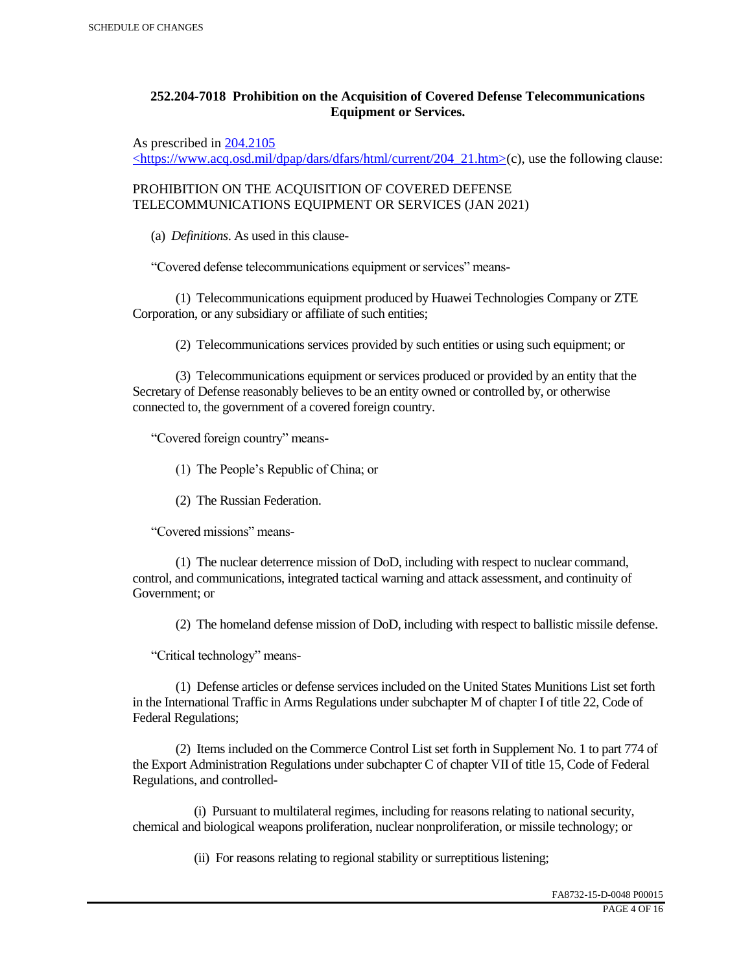# **252.204-7018 Prohibition on the Acquisition of Covered Defense Telecommunications Equipment or Services.**

As prescribed in 204.2105

 $\langle$ https://www.acq.osd.mil/dpap/dars/dfars/html/current/204\_21.htm>(c), use the following clause:

PROHIBITION ON THE ACQUISITION OF COVERED DEFENSE TELECOMMUNICATIONS EQUIPMENT OR SERVICES (JAN 2021)

(a) *Definitions*. As used in this clause-

"Covered defense telecommunications equipment or services" means-

 (1) Telecommunications equipment produced by Huawei Technologies Company or ZTE Corporation, or any subsidiary or affiliate of such entities;

(2) Telecommunications services provided by such entities or using such equipment; or

 (3) Telecommunications equipment or services produced or provided by an entity that the Secretary of Defense reasonably believes to be an entity owned or controlled by, or otherwise connected to, the government of a covered foreign country.

"Covered foreign country" means-

(1) The People's Republic of China; or

(2) The Russian Federation.

"Covered missions" means-

 (1) The nuclear deterrence mission of DoD, including with respect to nuclear command, control, and communications, integrated tactical warning and attack assessment, and continuity of Government; or

(2) The homeland defense mission of DoD, including with respect to ballistic missile defense.

"Critical technology" means-

 (1) Defense articles or defense services included on the United States Munitions List set forth in the International Traffic in Arms Regulations under subchapter M of chapter I of title 22, Code of Federal Regulations;

 (2) Items included on the Commerce Control List set forth in Supplement No. 1 to part 774 of the Export Administration Regulations under subchapter C of chapter VII of title 15, Code of Federal Regulations, and controlled-

 (i) Pursuant to multilateral regimes, including for reasons relating to national security, chemical and biological weapons proliferation, nuclear nonproliferation, or missile technology; or

(ii) For reasons relating to regional stability or surreptitious listening;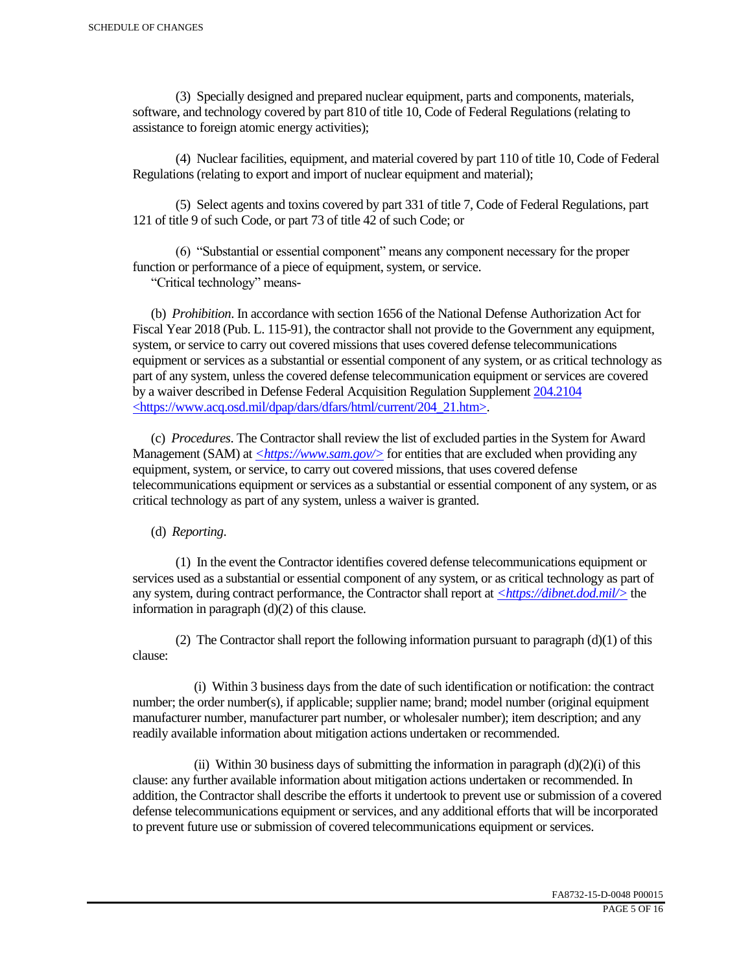(3) Specially designed and prepared nuclear equipment, parts and components, materials, software, and technology covered by part 810 of title 10, Code of Federal Regulations (relating to assistance to foreign atomic energy activities);

 (4) Nuclear facilities, equipment, and material covered by part 110 of title 10, Code of Federal Regulations (relating to export and import of nuclear equipment and material);

 (5) Select agents and toxins covered by part 331 of title 7, Code of Federal Regulations, part 121 of title 9 of such Code, or part 73 of title 42 of such Code; or

 (6) "Substantial or essential component" means any component necessary for the proper function or performance of a piece of equipment, system, or service.

"Critical technology" means-

 (b) *Prohibition*. In accordance with section 1656 of the National Defense Authorization Act for Fiscal Year 2018 (Pub. L. 115-91), the contractor shall not provide to the Government any equipment, system, or service to carry out covered missions that uses covered defense telecommunications equipment or services as a substantial or essential component of any system, or as critical technology as part of any system, unless the covered defense telecommunication equipment or services are covered by a waiver described in Defense Federal Acquisition Regulation Supplement 204.2104 <https://www.acq.osd.mil/dpap/dars/dfars/html/current/204\_21.htm>.

 (c) *Procedures*. The Contractor shall review the list of excluded parties in the System for Award Management (SAM) at  $\langle \frac{https://www.sam.gov/}{>}$  for entities that are excluded when providing any equipment, system, or service, to carry out covered missions, that uses covered defense telecommunications equipment or services as a substantial or essential component of any system, or as critical technology as part of any system, unless a waiver is granted.

(d) *Reporting*.

 (1) In the event the Contractor identifies covered defense telecommunications equipment or services used as a substantial or essential component of any system, or as critical technology as part of any system, during contract performance, the Contractor shall report at *<https://dibnet.dod.mil/>* the information in paragraph (d)(2) of this clause.

(2) The Contractor shall report the following information pursuant to paragraph  $(d)(1)$  of this clause:

 (i) Within 3 business days from the date of such identification or notification: the contract number; the order number(s), if applicable; supplier name; brand; model number (original equipment manufacturer number, manufacturer part number, or wholesaler number); item description; and any readily available information about mitigation actions undertaken or recommended.

(ii) Within 30 business days of submitting the information in paragraph  $(d)(2)(i)$  of this clause: any further available information about mitigation actions undertaken or recommended. In addition, the Contractor shall describe the efforts it undertook to prevent use or submission of a covered defense telecommunications equipment or services, and any additional efforts that will be incorporated to prevent future use or submission of covered telecommunications equipment or services.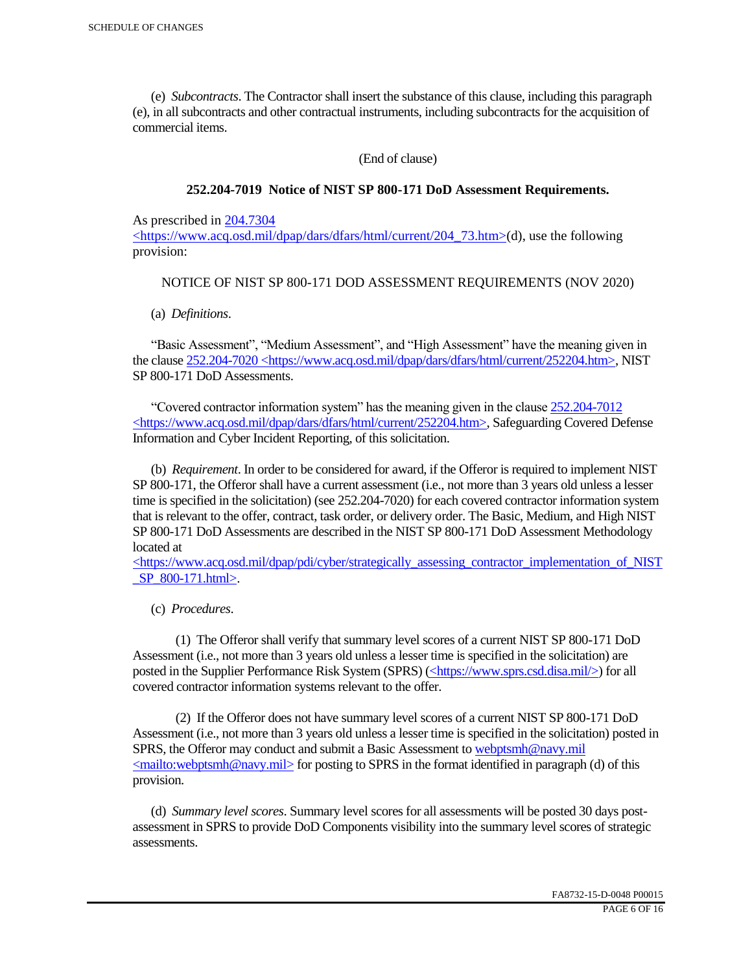(e) *Subcontracts*. The Contractor shall insert the substance of this clause, including this paragraph (e), in all subcontracts and other contractual instruments, including subcontracts for the acquisition of commercial items.

(End of clause)

#### **252.204-7019 Notice of NIST SP 800-171 DoD Assessment Requirements.**

As prescribed in 204.7304

 $\langle$ https://www.acq.osd.mil/dpap/dars/dfars/html/current/204 73.htm>(d), use the following provision:

#### NOTICE OF NIST SP 800-171 DOD ASSESSMENT REQUIREMENTS (NOV 2020)

(a) *Definitions*.

 "Basic Assessment", "Medium Assessment", and "High Assessment" have the meaning given in the clause 252.204-7020 <https://www.acq.osd.mil/dpap/dars/dfars/html/current/252204.htm>, NIST SP 800-171 DoD Assessments.

 "Covered contractor information system" has the meaning given in the clause 252.204-7012 <https://www.acq.osd.mil/dpap/dars/dfars/html/current/252204.htm>, Safeguarding Covered Defense Information and Cyber Incident Reporting, of this solicitation.

 (b) *Requirement*. In order to be considered for award, if the Offeror is required to implement NIST SP 800-171, the Offeror shall have a current assessment (i.e., not more than 3 years old unless a lesser time is specified in the solicitation) (see 252.204-7020) for each covered contractor information system that is relevant to the offer, contract, task order, or delivery order. The Basic, Medium, and High NIST SP 800-171 DoD Assessments are described in the NIST SP 800-171 DoD Assessment Methodology located at

 $\langle$ https://www.acq.osd.mil/dpap/pdi/cyber/strategically\_assessing\_contractor\_implementation\_of\_NIST \_SP\_800-171.html>.

(c) *Procedures*.

 (1) The Offeror shall verify that summary level scores of a current NIST SP 800-171 DoD Assessment (i.e., not more than 3 years old unless a lesser time is specified in the solicitation) are posted in the Supplier Performance Risk System (SPRS) (<https://www.sprs.csd.disa.mil/>) for all covered contractor information systems relevant to the offer.

 (2) If the Offeror does not have summary level scores of a current NIST SP 800-171 DoD Assessment (i.e., not more than 3 years old unless a lesser time is specified in the solicitation) posted in SPRS, the Offeror may conduct and submit a Basic Assessment to webptsmh@navy.mil  $\leq$ mailto:webptsmh@navy.mil> for posting to SPRS in the format identified in paragraph (d) of this provision.

 (d) *Summary level scores*. Summary level scores for all assessments will be posted 30 days postassessment in SPRS to provide DoD Components visibility into the summary level scores of strategic assessments.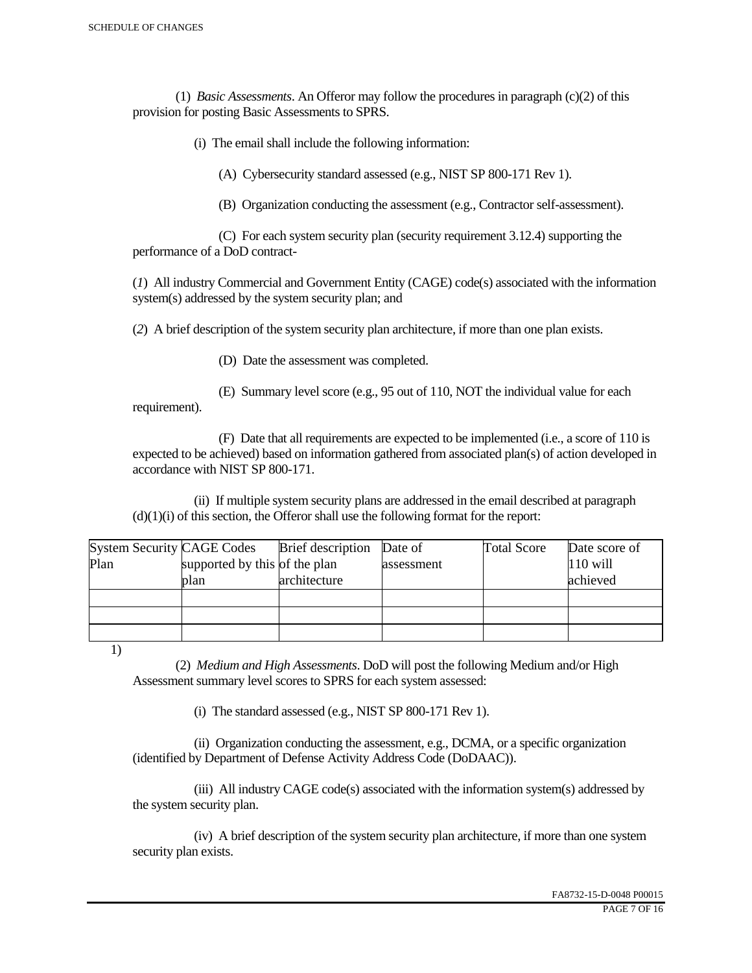(1) *Basic Assessments*. An Offeror may follow the procedures in paragraph (c)(2) of this provision for posting Basic Assessments to SPRS.

(i) The email shall include the following information:

(A) Cybersecurity standard assessed (e.g., NIST SP 800-171 Rev 1).

(B) Organization conducting the assessment (e.g., Contractor self-assessment).

 (C) For each system security plan (security requirement 3.12.4) supporting the performance of a DoD contract-

(*1*) All industry Commercial and Government Entity (CAGE) code(s) associated with the information system(s) addressed by the system security plan; and

(*2*) A brief description of the system security plan architecture, if more than one plan exists.

(D) Date the assessment was completed.

 (E) Summary level score (e.g., 95 out of 110, NOT the individual value for each requirement).

 (F) Date that all requirements are expected to be implemented (i.e., a score of 110 is expected to be achieved) based on information gathered from associated plan(s) of action developed in accordance with NIST SP 800-171.

 (ii) If multiple system security plans are addressed in the email described at paragraph  $(d)(1)(i)$  of this section, the Offeror shall use the following format for the report:

| <b>System Security CAGE Codes</b> |                               | <b>Brief</b> description | Date of    | <b>Total Score</b> | Date score of |
|-----------------------------------|-------------------------------|--------------------------|------------|--------------------|---------------|
| Plan                              | supported by this of the plan |                          | assessment |                    | $110$ will    |
|                                   | plan                          | architecture             |            |                    | achieved      |
|                                   |                               |                          |            |                    |               |
|                                   |                               |                          |            |                    |               |
|                                   |                               |                          |            |                    |               |

1)

 (2) *Medium and High Assessments*. DoD will post the following Medium and/or High Assessment summary level scores to SPRS for each system assessed:

(i) The standard assessed (e.g., NIST SP 800-171 Rev 1).

 (ii) Organization conducting the assessment, e.g., DCMA, or a specific organization (identified by Department of Defense Activity Address Code (DoDAAC)).

 (iii) All industry CAGE code(s) associated with the information system(s) addressed by the system security plan.

 (iv) A brief description of the system security plan architecture, if more than one system security plan exists.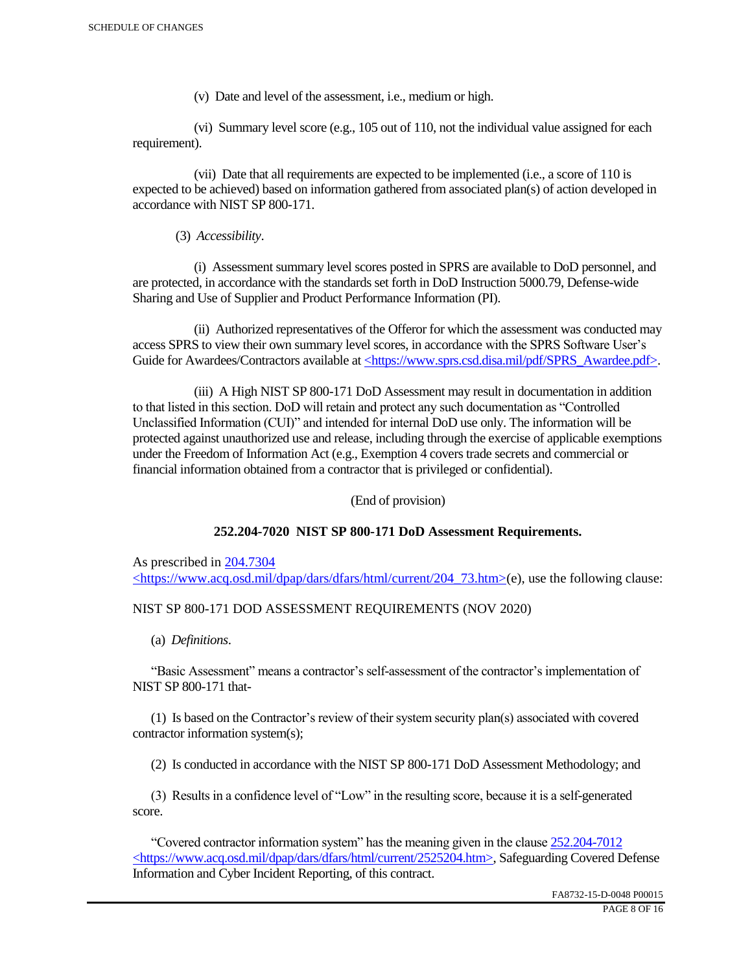(v) Date and level of the assessment, i.e., medium or high.

 (vi) Summary level score (e.g., 105 out of 110, not the individual value assigned for each requirement).

 (vii) Date that all requirements are expected to be implemented (i.e., a score of 110 is expected to be achieved) based on information gathered from associated plan(s) of action developed in accordance with NIST SP 800-171.

(3) *Accessibility*.

 (i) Assessment summary level scores posted in SPRS are available to DoD personnel, and are protected, in accordance with the standards set forth in DoD Instruction 5000.79, Defense-wide Sharing and Use of Supplier and Product Performance Information (PI).

 (ii) Authorized representatives of the Offeror for which the assessment was conducted may access SPRS to view their own summary level scores, in accordance with the SPRS Software User's Guide for Awardees/Contractors available at <https://www.sprs.csd.disa.mil/pdf/SPRS\_Awardee.pdf>.

 (iii) A High NIST SP 800-171 DoD Assessment may result in documentation in addition to that listed in this section. DoD will retain and protect any such documentation as "Controlled Unclassified Information (CUI)" and intended for internal DoD use only. The information will be protected against unauthorized use and release, including through the exercise of applicable exemptions under the Freedom of Information Act (e.g., Exemption 4 covers trade secrets and commercial or financial information obtained from a contractor that is privileged or confidential).

(End of provision)

# **252.204-7020 NIST SP 800-171 DoD Assessment Requirements.**

As prescribed in 204.7304 <https://www.acq.osd.mil/dpap/dars/dfars/html/current/204\_73.htm>(e), use the following clause:

# NIST SP 800-171 DOD ASSESSMENT REQUIREMENTS (NOV 2020)

(a) *Definitions*.

 "Basic Assessment" means a contractor's self-assessment of the contractor's implementation of NIST SP 800-171 that-

 (1) Is based on the Contractor's review of their system security plan(s) associated with covered contractor information system(s);

(2) Is conducted in accordance with the NIST SP 800-171 DoD Assessment Methodology; and

 (3) Results in a confidence level of "Low" in the resulting score, because it is a self-generated score.

 "Covered contractor information system" has the meaning given in the clause 252.204-7012 <https://www.acq.osd.mil/dpap/dars/dfars/html/current/2525204.htm>, Safeguarding Covered Defense Information and Cyber Incident Reporting, of this contract.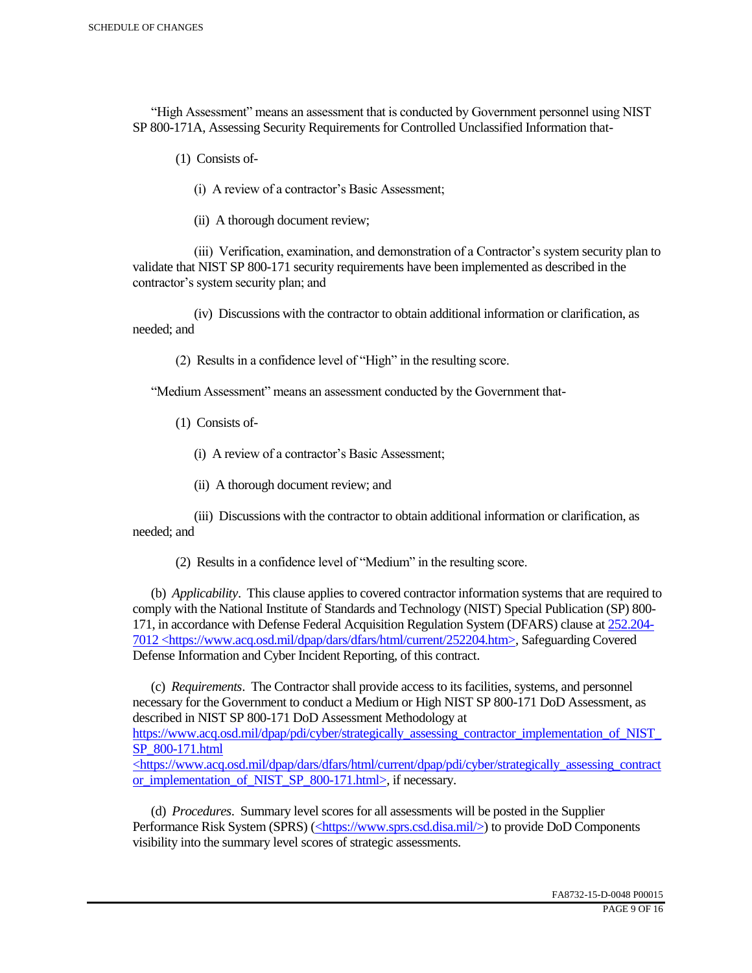"High Assessment" means an assessment that is conducted by Government personnel using NIST SP 800-171A, Assessing Security Requirements for Controlled Unclassified Information that-

(1) Consists of-

(i) A review of a contractor's Basic Assessment;

(ii) A thorough document review;

 (iii) Verification, examination, and demonstration of a Contractor's system security plan to validate that NIST SP 800-171 security requirements have been implemented as described in the contractor's system security plan; and

 (iv) Discussions with the contractor to obtain additional information or clarification, as needed; and

(2) Results in a confidence level of "High" in the resulting score.

"Medium Assessment" means an assessment conducted by the Government that-

(1) Consists of-

(i) A review of a contractor's Basic Assessment;

(ii) A thorough document review; and

 (iii) Discussions with the contractor to obtain additional information or clarification, as needed; and

(2) Results in a confidence level of "Medium" in the resulting score.

 (b) *Applicability*. This clause applies to covered contractor information systems that are required to comply with the National Institute of Standards and Technology (NIST) Special Publication (SP) 800- 171, in accordance with Defense Federal Acquisition Regulation System (DFARS) clause at 252.204- 7012 <https://www.acq.osd.mil/dpap/dars/dfars/html/current/252204.htm>, Safeguarding Covered Defense Information and Cyber Incident Reporting, of this contract.

 (c) *Requirements*. The Contractor shall provide access to its facilities, systems, and personnel necessary for the Government to conduct a Medium or High NIST SP 800-171 DoD Assessment, as described in NIST SP 800-171 DoD Assessment Methodology at https://www.acq.osd.mil/dpap/pdi/cyber/strategically\_assessing\_contractor\_implementation\_of\_NIST\_ SP\_800-171.html <https://www.acq.osd.mil/dpap/dars/dfars/html/current/dpap/pdi/cyber/strategically\_assessing\_contract

or implementation of NIST SP 800-171.html>, if necessary.

 (d) *Procedures*. Summary level scores for all assessments will be posted in the Supplier Performance Risk System (SPRS) (<https://www.sprs.csd.disa.mil/>) to provide DoD Components visibility into the summary level scores of strategic assessments.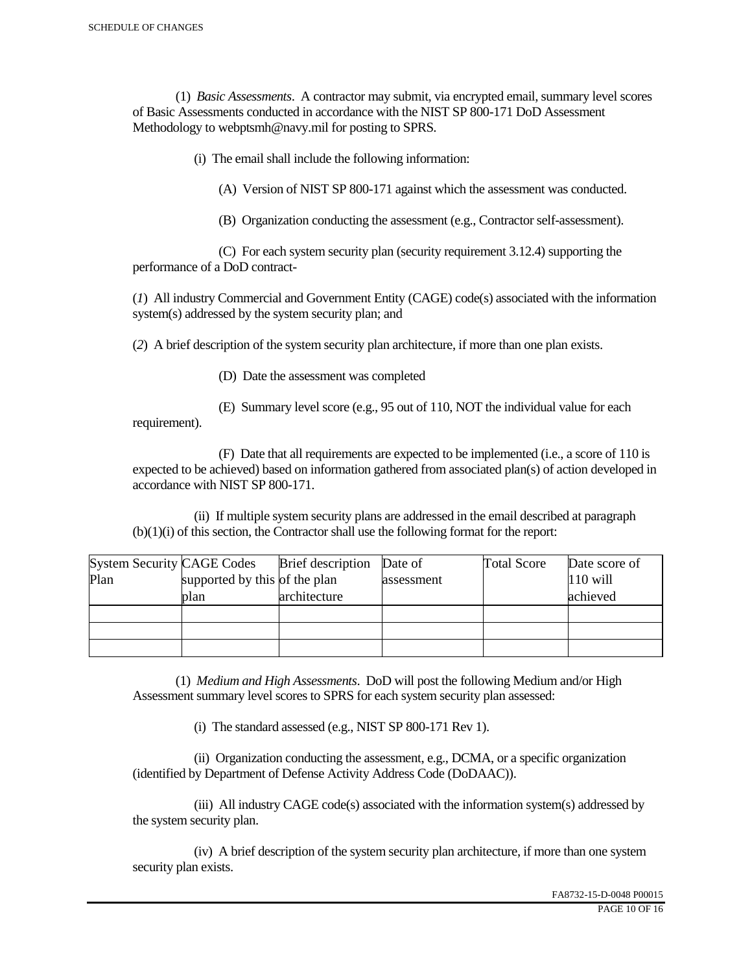(1) *Basic Assessments*. A contractor may submit, via encrypted email, summary level scores of Basic Assessments conducted in accordance with the NIST SP 800-171 DoD Assessment Methodology to webptsmh@navy.mil for posting to SPRS.

(i) The email shall include the following information:

(A) Version of NIST SP 800-171 against which the assessment was conducted.

(B) Organization conducting the assessment (e.g., Contractor self-assessment).

 (C) For each system security plan (security requirement 3.12.4) supporting the performance of a DoD contract-

(*1*) All industry Commercial and Government Entity (CAGE) code(s) associated with the information system(s) addressed by the system security plan; and

(*2*) A brief description of the system security plan architecture, if more than one plan exists.

(D) Date the assessment was completed

requirement).

(E) Summary level score (e.g., 95 out of 110, NOT the individual value for each

 (F) Date that all requirements are expected to be implemented (i.e., a score of 110 is expected to be achieved) based on information gathered from associated plan(s) of action developed in accordance with NIST SP 800-171.

 (ii) If multiple system security plans are addressed in the email described at paragraph (b)(1)(i) of this section, the Contractor shall use the following format for the report:

| <b>System Security CAGE Codes</b> |                               | <b>Brief</b> description | Date of    | <b>Total Score</b> | Date score of |
|-----------------------------------|-------------------------------|--------------------------|------------|--------------------|---------------|
| Plan                              | supported by this of the plan |                          | assessment |                    | $110$ will    |
|                                   | plan                          | architecture             |            |                    | achieved      |
|                                   |                               |                          |            |                    |               |
|                                   |                               |                          |            |                    |               |
|                                   |                               |                          |            |                    |               |

 (1) *Medium and High Assessments*. DoD will post the following Medium and/or High Assessment summary level scores to SPRS for each system security plan assessed:

(i) The standard assessed (e.g., NIST SP 800-171 Rev 1).

 (ii) Organization conducting the assessment, e.g., DCMA, or a specific organization (identified by Department of Defense Activity Address Code (DoDAAC)).

 (iii) All industry CAGE code(s) associated with the information system(s) addressed by the system security plan.

 (iv) A brief description of the system security plan architecture, if more than one system security plan exists.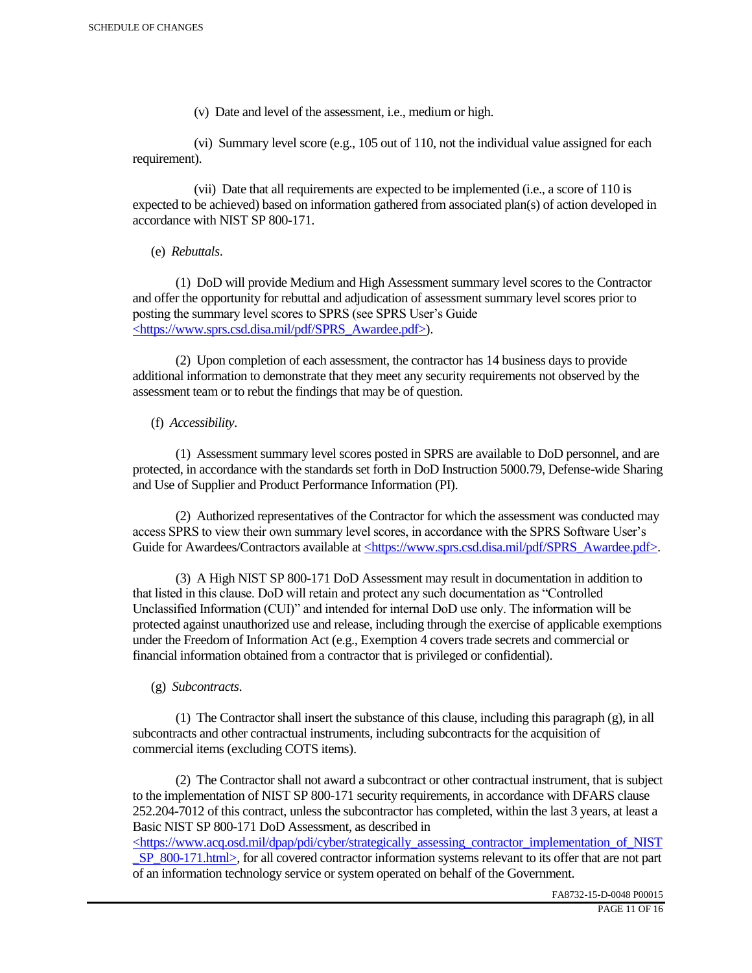(v) Date and level of the assessment, i.e., medium or high.

 (vi) Summary level score (e.g., 105 out of 110, not the individual value assigned for each requirement).

 (vii) Date that all requirements are expected to be implemented (i.e., a score of 110 is expected to be achieved) based on information gathered from associated plan(s) of action developed in accordance with NIST SP 800-171.

(e) *Rebuttals*.

 (1) DoD will provide Medium and High Assessment summary level scores to the Contractor and offer the opportunity for rebuttal and adjudication of assessment summary level scores prior to posting the summary level scores to SPRS (see SPRS User's Guide <https://www.sprs.csd.disa.mil/pdf/SPRS\_Awardee.pdf>).

 (2) Upon completion of each assessment, the contractor has 14 business days to provide additional information to demonstrate that they meet any security requirements not observed by the assessment team or to rebut the findings that may be of question.

# (f) *Accessibility*.

 (1) Assessment summary level scores posted in SPRS are available to DoD personnel, and are protected, in accordance with the standards set forth in DoD Instruction 5000.79, Defense-wide Sharing and Use of Supplier and Product Performance Information (PI).

 (2) Authorized representatives of the Contractor for which the assessment was conducted may access SPRS to view their own summary level scores, in accordance with the SPRS Software User's Guide for Awardees/Contractors available at <https://www.sprs.csd.disa.mil/pdf/SPRS\_Awardee.pdf>.

 (3) A High NIST SP 800-171 DoD Assessment may result in documentation in addition to that listed in this clause. DoD will retain and protect any such documentation as "Controlled Unclassified Information (CUI)" and intended for internal DoD use only. The information will be protected against unauthorized use and release, including through the exercise of applicable exemptions under the Freedom of Information Act (e.g., Exemption 4 covers trade secrets and commercial or financial information obtained from a contractor that is privileged or confidential).

# (g) *Subcontracts*.

(1) The Contractor shall insert the substance of this clause, including this paragraph  $(g)$ , in all subcontracts and other contractual instruments, including subcontracts for the acquisition of commercial items (excluding COTS items).

 (2) The Contractor shall not award a subcontract or other contractual instrument, that is subject to the implementation of NIST SP 800-171 security requirements, in accordance with DFARS clause 252.204-7012 of this contract, unless the subcontractor has completed, within the last 3 years, at least a Basic NIST SP 800-171 DoD Assessment, as described in

 $\langle$ https://www.acq.osd.mil/dpap/pdi/cyber/strategically\_assessing\_contractor\_implementation\_of\_NIST SP\_800-171.html>, for all covered contractor information systems relevant to its offer that are not part of an information technology service or system operated on behalf of the Government.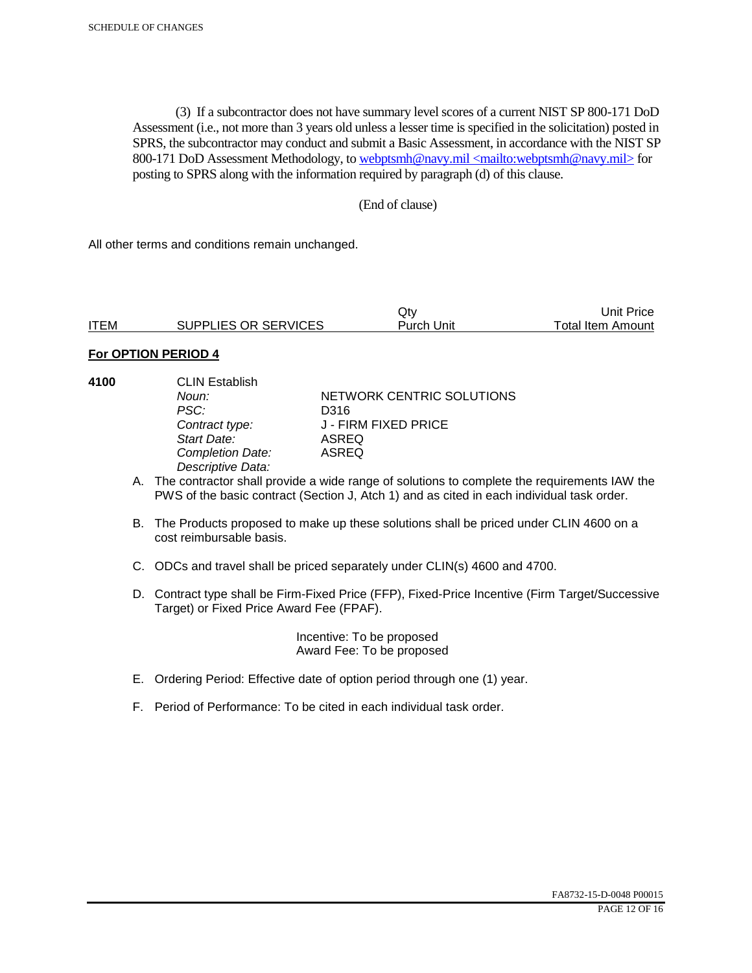(3) If a subcontractor does not have summary level scores of a current NIST SP 800-171 DoD Assessment (i.e., not more than 3 years old unless a lesser time is specified in the solicitation) posted in SPRS, the subcontractor may conduct and submit a Basic Assessment, in accordance with the NIST SP 800-171 DoD Assessment Methodology, to webptsmh@navy.mil <mailto:webptsmh@navy.mil> for posting to SPRS along with the information required by paragraph (d) of this clause.

### (End of clause)

All other terms and conditions remain unchanged.

|             |                      | Jt۱        | Unit Price        |
|-------------|----------------------|------------|-------------------|
| <b>ITEM</b> | SUPPLIES OR SERVICES | Purch Unit | Total Item Amount |

#### **For OPTION PERIOD 4**

| 4100 | <b>CLIN Establish</b><br>Noun:<br>PSC:<br>Contract type:<br>Start Date:<br><b>Completion Date:</b><br>Descriptive Data: | NETWORK CENTRIC SOLUTIONS<br>D316<br>J - FIRM FIXED PRICE<br>ASREQ<br>ASREQ                                                                                                                 |
|------|-------------------------------------------------------------------------------------------------------------------------|---------------------------------------------------------------------------------------------------------------------------------------------------------------------------------------------|
|      |                                                                                                                         | A. The contractor shall provide a wide range of solutions to complete the requirements IAW the<br>PWS of the basic contract (Section J, Atch 1) and as cited in each individual task order. |
|      | cost reimbursable basis.                                                                                                | B. The Products proposed to make up these solutions shall be priced under CLIN 4600 on a                                                                                                    |
|      |                                                                                                                         | C. ODCs and travel shall be priced separately under CLIN(s) 4600 and 4700.                                                                                                                  |

D. Contract type shall be Firm-Fixed Price (FFP), Fixed-Price Incentive (Firm Target/Successive Target) or Fixed Price Award Fee (FPAF).

> Incentive: To be proposed Award Fee: To be proposed

- E. Ordering Period: Effective date of option period through one (1) year.
- F. Period of Performance: To be cited in each individual task order.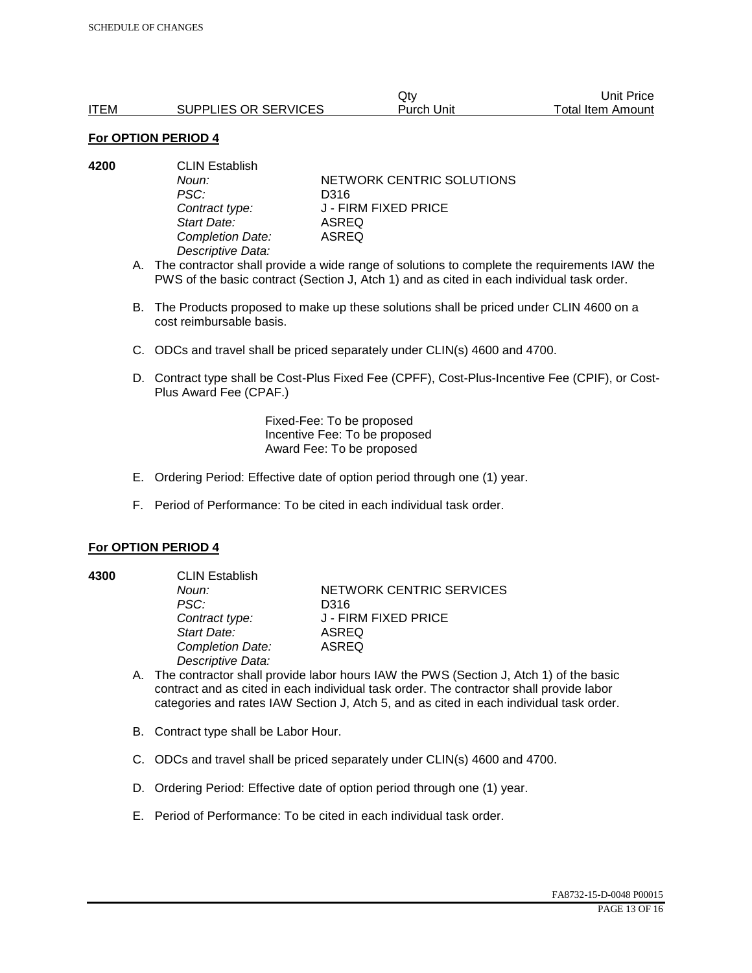|             |                      | Qtv        | Unit Price        |
|-------------|----------------------|------------|-------------------|
| <b>ITEM</b> | SUPPLIES OR SERVICES | Purch Unit | Total Item Amount |

| 4200 | <b>CLIN Establish</b> |                           |  |
|------|-----------------------|---------------------------|--|
|      | Noun:                 | NETWORK CENTRIC SOLUTIONS |  |
|      | PSC:                  | D316                      |  |
|      | Contract type:        | J - FIRM FIXED PRICE      |  |
|      | Start Date:           | ASREQ                     |  |
|      | Completion Date:      | ASREQ                     |  |
|      | Descriptive Data:     |                           |  |

- A. The contractor shall provide a wide range of solutions to complete the requirements IAW the PWS of the basic contract (Section J, Atch 1) and as cited in each individual task order.
- B. The Products proposed to make up these solutions shall be priced under CLIN 4600 on a cost reimbursable basis.
- C. ODCs and travel shall be priced separately under CLIN(s) 4600 and 4700.
- D. Contract type shall be Cost-Plus Fixed Fee (CPFF), Cost-Plus-Incentive Fee (CPIF), or Cost-Plus Award Fee (CPAF.)

Fixed-Fee: To be proposed Incentive Fee: To be proposed Award Fee: To be proposed

- E. Ordering Period: Effective date of option period through one (1) year.
- F. Period of Performance: To be cited in each individual task order.

#### **For OPTION PERIOD 4**

**4300** CLIN Establish *PSC:* D316 *Start Date:* ASREQ *Completion Date:* ASREQ *Descriptive Data:* 

**Noun: NETWORK CENTRIC SERVICES** *Contract type:* J - FIRM FIXED PRICE

- A. The contractor shall provide labor hours IAW the PWS (Section J, Atch 1) of the basic contract and as cited in each individual task order. The contractor shall provide labor categories and rates IAW Section J, Atch 5, and as cited in each individual task order.
- B. Contract type shall be Labor Hour.
- C. ODCs and travel shall be priced separately under CLIN(s) 4600 and 4700.
- D. Ordering Period: Effective date of option period through one (1) year.
- E. Period of Performance: To be cited in each individual task order.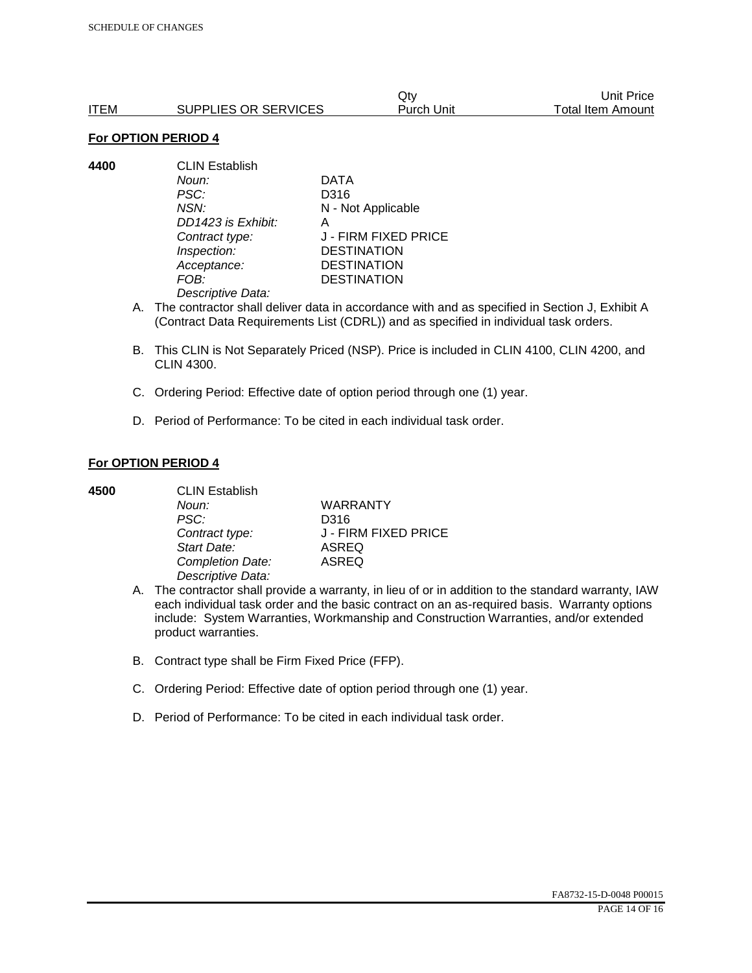|      |                      | Qtv        | Unit Price        |
|------|----------------------|------------|-------------------|
| ITEM | SUPPLIES OR SERVICES | Purch Unit | Total Item Amount |

**4400** CLIN Establish *Noun:* DATA *PSC:* D316 *NSN:* N - Not Applicable *DD1423 is Exhibit:* A *Contract type:* J - FIRM FIXED PRICE *Inspection:* DESTINATION *Acceptance:* DESTINATION *FOB:* DESTINATION *Descriptive Data:* 

- A. The contractor shall deliver data in accordance with and as specified in Section J, Exhibit A (Contract Data Requirements List (CDRL)) and as specified in individual task orders.
- B. This CLIN is Not Separately Priced (NSP). Price is included in CLIN 4100, CLIN 4200, and CLIN 4300.
- C. Ordering Period: Effective date of option period through one (1) year.
- D. Period of Performance: To be cited in each individual task order.

#### **For OPTION PERIOD 4**

| 4500 | <b>CLIN Establish</b> |                      |  |
|------|-----------------------|----------------------|--|
|      | Noun:                 | <b>WARRANTY</b>      |  |
|      | PSC:                  | D316                 |  |
|      | Contract type:        | J - FIRM FIXED PRICE |  |
|      | Start Date:           | <b>ASREQ</b>         |  |
|      | Completion Date:      | <b>ASREQ</b>         |  |
|      | Descriptive Data:     |                      |  |

- A. The contractor shall provide a warranty, in lieu of or in addition to the standard warranty, IAW each individual task order and the basic contract on an as-required basis. Warranty options include: System Warranties, Workmanship and Construction Warranties, and/or extended product warranties.
- B. Contract type shall be Firm Fixed Price (FFP).
- C. Ordering Period: Effective date of option period through one (1) year.
- D. Period of Performance: To be cited in each individual task order.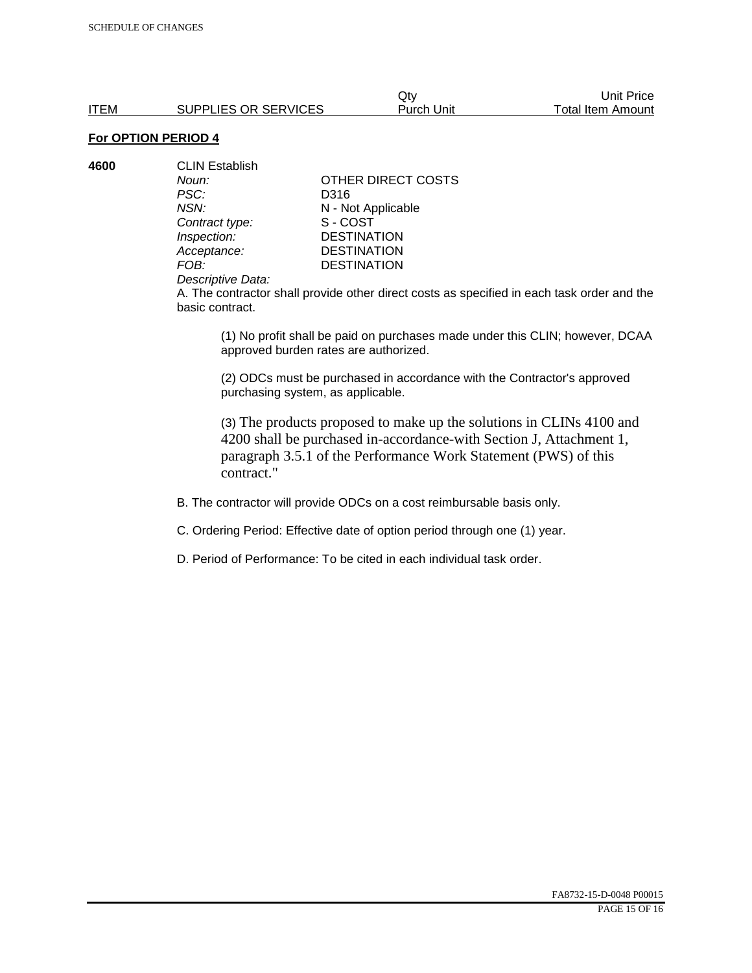**4600** CLIN Establish *PSC:* D316 **Contract type:** 

*Noun:* **CONTACT OTHER DIRECT COSTS** *NSN:* **N** - Not Applicable<br>
Contract type: S - COST *Inspection:* DESTINATION<br> *Acceptance:* DESTINATION *Acceptance:* DESTINATION<br>FOB: DESTINATION **DESTINATION** 

#### *Descriptive Data:*

A. The contractor shall provide other direct costs as specified in each task order and the basic contract.

(1) No profit shall be paid on purchases made under this CLIN; however, DCAA approved burden rates are authorized.

(2) ODCs must be purchased in accordance with the Contractor's approved purchasing system, as applicable.

(3) The products proposed to make up the solutions in CLINs 4100 and 4200 shall be purchased in-accordance-with Section J, Attachment 1, paragraph 3.5.1 of the Performance Work Statement (PWS) of this contract."

B. The contractor will provide ODCs on a cost reimbursable basis only.

C. Ordering Period: Effective date of option period through one (1) year.

D. Period of Performance: To be cited in each individual task order.